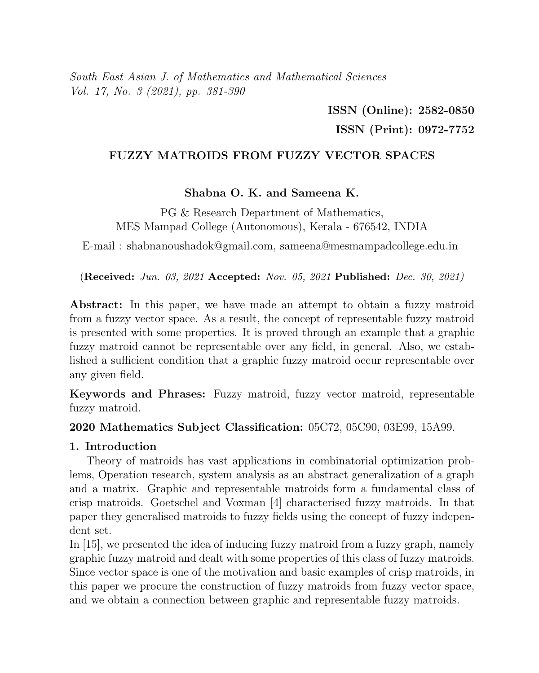South East Asian J. of Mathematics and Mathematical Sciences Vol. 17, No. 3 (2021), pp. 381-390

> ISSN (Online): 2582-0850 ISSN (Print): 0972-7752

# FUZZY MATROIDS FROM FUZZY VECTOR SPACES

Shabna O. K. and Sameena K.

PG & Research Department of Mathematics, MES Mampad College (Autonomous), Kerala - 676542, INDIA

E-mail : shabnanoushadok@gmail.com, sameena@mesmampadcollege.edu.in

(Received: Jun. 03, 2021 Accepted: Nov. 05, 2021 Published: Dec. 30, 2021)

Abstract: In this paper, we have made an attempt to obtain a fuzzy matroid from a fuzzy vector space. As a result, the concept of representable fuzzy matroid is presented with some properties. It is proved through an example that a graphic fuzzy matroid cannot be representable over any field, in general. Also, we established a sufficient condition that a graphic fuzzy matroid occur representable over any given field.

Keywords and Phrases: Fuzzy matroid, fuzzy vector matroid, representable fuzzy matroid.

2020 Mathematics Subject Classification: 05C72, 05C90, 03E99, 15A99.

## 1. Introduction

Theory of matroids has vast applications in combinatorial optimization problems, Operation research, system analysis as an abstract generalization of a graph and a matrix. Graphic and representable matroids form a fundamental class of crisp matroids. Goetschel and Voxman [4] characterised fuzzy matroids. In that paper they generalised matroids to fuzzy fields using the concept of fuzzy independent set.

In [15], we presented the idea of inducing fuzzy matroid from a fuzzy graph, namely graphic fuzzy matroid and dealt with some properties of this class of fuzzy matroids. Since vector space is one of the motivation and basic examples of crisp matroids, in this paper we procure the construction of fuzzy matroids from fuzzy vector space, and we obtain a connection between graphic and representable fuzzy matroids.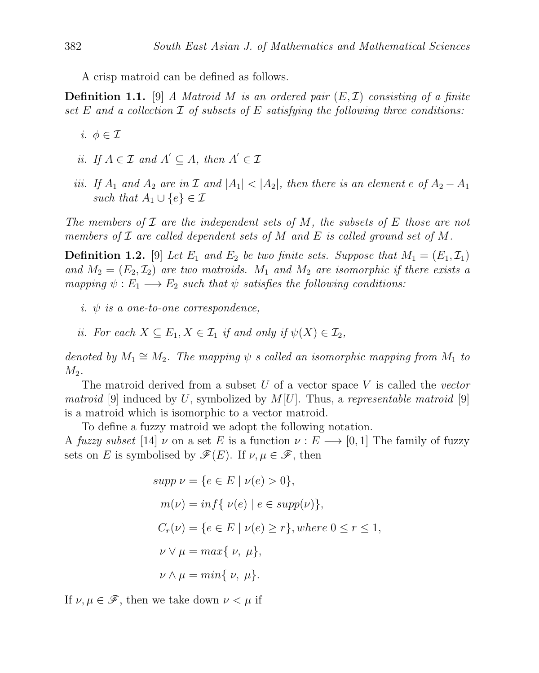A crisp matroid can be defined as follows.

**Definition 1.1.** [9] A Matroid M is an ordered pair  $(E, \mathcal{I})$  consisting of a finite set E and a collection  $\mathcal I$  of subsets of E satisfying the following three conditions:

- i.  $\phi \in \mathcal{I}$
- ii. If  $A \in \mathcal{I}$  and  $A' \subseteq A$ , then  $A' \in \mathcal{I}$
- iii. If  $A_1$  and  $A_2$  are in  $\mathcal I$  and  $|A_1| < |A_2|$ , then there is an element e of  $A_2 A_1$ such that  $A_1 \cup \{e\} \in \mathcal{I}$

The members of  $\mathcal I$  are the independent sets of M, the subsets of E those are not members of  $\mathcal I$  are called dependent sets of M and E is called ground set of M.

**Definition 1.2.** [9] Let  $E_1$  and  $E_2$  be two finite sets. Suppose that  $M_1 = (E_1, \mathcal{I}_1)$ and  $M_2 = (E_2, \mathcal{I}_2)$  are two matroids.  $M_1$  and  $M_2$  are isomorphic if there exists a mapping  $\psi : E_1 \longrightarrow E_2$  such that  $\psi$  satisfies the following conditions:

- i.  $\psi$  is a one-to-one correspondence,
- ii. For each  $X \subseteq E_1, X \in \mathcal{I}_1$  if and only if  $\psi(X) \in \mathcal{I}_2$ ,

denoted by  $M_1 \cong M_2$ . The mapping  $\psi$  s called an isomorphic mapping from  $M_1$  to  $M_2$ .

The matroid derived from a subset  $U$  of a vector space  $V$  is called the vector *matroid* [9] induced by U, symbolized by  $M[U]$ . Thus, a representable matroid [9] is a matroid which is isomorphic to a vector matroid.

To define a fuzzy matroid we adopt the following notation.

A fuzzy subset [14]  $\nu$  on a set E is a function  $\nu : E \longrightarrow [0, 1]$  The family of fuzzy sets on E is symbolised by  $\mathscr{F}(E)$ . If  $\nu, \mu \in \mathscr{F}$ , then

$$
supp \nu = \{e \in E \mid \nu(e) > 0\},
$$
  
\n
$$
m(\nu) = \inf \{ \nu(e) \mid e \in \text{supp}(\nu) \},
$$
  
\n
$$
C_r(\nu) = \{e \in E \mid \nu(e) \ge r\}, \text{where } 0 \le r \le 1,
$$
  
\n
$$
\nu \vee \mu = \max \{ \nu, \mu \},
$$
  
\n
$$
\nu \wedge \mu = \min \{ \nu, \mu \}.
$$

If  $\nu, \mu \in \mathscr{F}$ , then we take down  $\nu < \mu$  if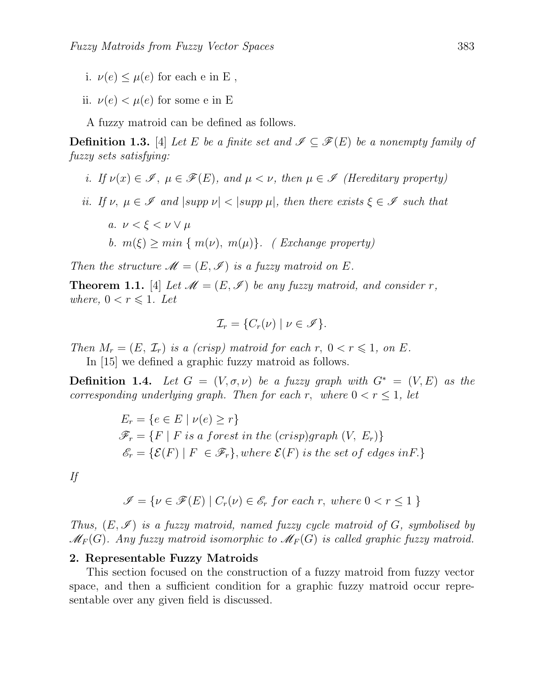- i.  $\nu(e) \leq \mu(e)$  for each e in E,
- ii.  $\nu(e) < \mu(e)$  for some e in E

A fuzzy matroid can be defined as follows.

**Definition 1.3.** [4] Let E be a finite set and  $\mathscr{I} \subseteq \mathscr{F}(E)$  be a nonempty family of fuzzy sets satisfying:

- i. If  $\nu(x) \in \mathscr{I}$ ,  $\mu \in \mathscr{F}(E)$ , and  $\mu < \nu$ , then  $\mu \in \mathscr{I}$  (Hereditary property)
- ii. If  $\nu, \mu \in \mathscr{I}$  and  $|\text{supp }\nu| < |\text{supp }\mu|$ , then there exists  $\xi \in \mathscr{I}$  such that
	- a.  $\nu < \xi < \nu \vee \mu$ b.  $m(\xi) \geq min \{ m(\nu), m(\mu) \}.$  (Exchange property)

Then the structure  $\mathcal{M} = (E, \mathcal{I})$  is a fuzzy matroid on E.

**Theorem 1.1.** [4] Let  $\mathcal{M} = (E, \mathcal{I})$  be any fuzzy matroid, and consider r, where,  $0 < r \leq 1$ . Let

$$
\mathcal{I}_r = \{ C_r(\nu) \mid \nu \in \mathscr{I} \}.
$$

Then  $M_r = (E, \mathcal{I}_r)$  is a (crisp) matroid for each r,  $0 < r \leq 1$ , on E.

In [15] we defined a graphic fuzzy matroid as follows.

**Definition 1.4.** Let  $G = (V, \sigma, \nu)$  be a fuzzy graph with  $G^* = (V, E)$  as the corresponding underlying graph. Then for each r, where  $0 < r \leq 1$ , let

$$
E_r = \{ e \in E \mid \nu(e) \ge r \}
$$
  

$$
\mathcal{F}_r = \{ F \mid F \text{ is a forest in the (crisp)graph } (V, E_r) \}
$$
  

$$
\mathcal{E}_r = \{ \mathcal{E}(F) \mid F \in \mathcal{F}_r \}, \text{where } \mathcal{E}(F) \text{ is the set of edges in } F \}
$$

If

$$
\mathscr{I} = \{ \nu \in \mathscr{F}(E) \mid C_r(\nu) \in \mathscr{E}_r \text{ for each } r, \text{ where } 0 < r \leq 1 \}
$$

Thus,  $(E, \mathscr{I})$  is a fuzzy matroid, named fuzzy cycle matroid of G, symbolised by  $\mathcal{M}_F(G)$ . Any fuzzy matroid isomorphic to  $\mathcal{M}_F(G)$  is called graphic fuzzy matroid.

#### 2. Representable Fuzzy Matroids

This section focused on the construction of a fuzzy matroid from fuzzy vector space, and then a sufficient condition for a graphic fuzzy matroid occur representable over any given field is discussed.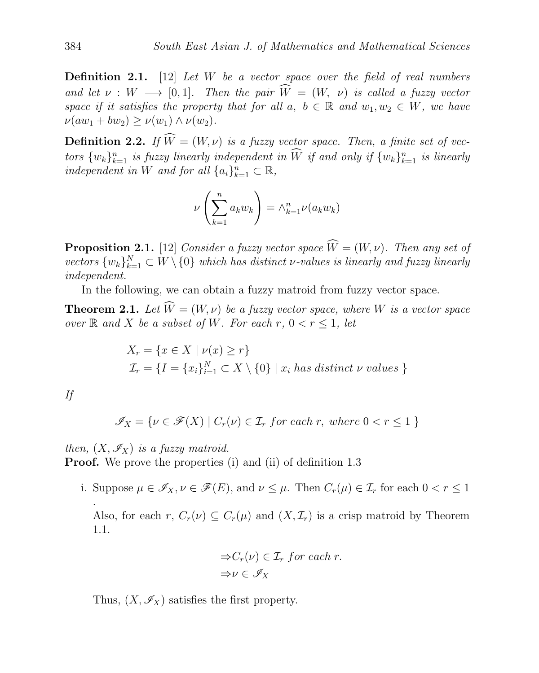**Definition 2.1.** [12] Let  $W$  be a vector space over the field of real numbers and let  $\nu : W \longrightarrow [0,1]$ . Then the pair  $\widehat{W} = (W, \nu)$  is called a fuzzy vector space if it satisfies the property that for all a,  $b \in \mathbb{R}$  and  $w_1, w_2 \in W$ , we have  $\nu(aw_1 + bw_2) > \nu(w_1) \wedge \nu(w_2).$ 

**Definition 2.2.** If  $\widehat{W} = (W, \nu)$  is a fuzzy vector space. Then, a finite set of vectors  $\{w_k\}_{k=1}^n$  is fuzzy linearly independent in W if and only if  $\{w_k\}_{k=1}^n$  is linearly independent in W and for all  $\{a_i\}_{k=1}^n \subset \mathbb{R}$ ,

$$
\nu\left(\sum_{k=1}^n a_k w_k\right) = \wedge_{k=1}^n \nu(a_k w_k)
$$

**Proposition 2.1.** [12] Consider a fuzzy vector space  $\widehat{W} = (W, \nu)$ . Then any set of vectors  $\{w_k\}_{k=1}^N \subset W \setminus \{0\}$  which has distinct v-values is linearly and fuzzy linearly independent.

In the following, we can obtain a fuzzy matroid from fuzzy vector space.

**Theorem 2.1.** Let  $\widehat{W} = (W, \nu)$  be a fuzzy vector space, where W is a vector space over  $\mathbb R$  and X be a subset of W. For each r,  $0 < r \leq 1$ , let

$$
X_r = \{x \in X \mid \nu(x) \ge r\}
$$
  

$$
\mathcal{I}_r = \{I = \{x_i\}_{i=1}^N \subset X \setminus \{0\} \mid x_i \text{ has distinct } \nu \text{ values }\}
$$

If

.

$$
\mathcal{I}_X = \{ \nu \in \mathcal{F}(X) \mid C_r(\nu) \in \mathcal{I}_r \text{ for each } r, \text{ where } 0 < r \le 1 \}
$$

then,  $(X, \mathscr{I}_X)$  is a fuzzy matroid. **Proof.** We prove the properties (i) and (ii) of definition 1.3

i. Suppose  $\mu \in \mathscr{I}_X, \nu \in \mathscr{F}(E)$ , and  $\nu \leq \mu$ . Then  $C_r(\mu) \in \mathcal{I}_r$  for each  $0 < r \leq 1$ 

Also, for each r,  $C_r(\nu) \subseteq C_r(\mu)$  and  $(X, \mathcal{I}_r)$  is a crisp matroid by Theorem 1.1.

$$
\Rightarrow C_r(\nu) \in \mathcal{I}_r \text{ for each } r.
$$
  

$$
\Rightarrow \nu \in \mathcal{I}_X
$$

Thus,  $(X, \mathscr{I}_X)$  satisfies the first property.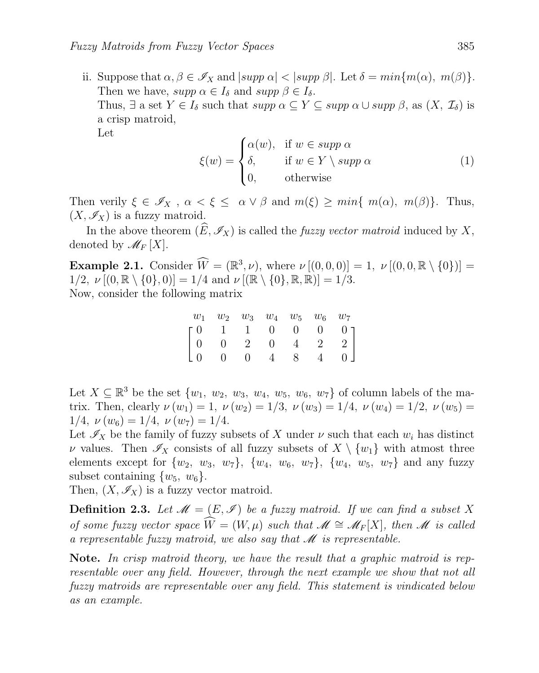ii. Suppose that  $\alpha, \beta \in \mathscr{I}_X$  and  $|supp \alpha| < |supp \beta|$ . Let  $\delta = min\{m(\alpha), m(\beta)\}.$ Then we have,  $supp \alpha \in I_{\delta}$  and  $supp \beta \in I_{\delta}$ . Thus,  $\exists$  a set  $Y \in I_{\delta}$  such that  $supp \alpha \subseteq Y \subseteq supp \alpha \cup supp \beta$ , as  $(X, \mathcal{I}_{\delta})$  is a crisp matroid, Let

$$
\xi(w) = \begin{cases} \alpha(w), & \text{if } w \in \text{supp } \alpha \\ \delta, & \text{if } w \in Y \setminus \text{supp } \alpha \\ 0, & \text{otherwise} \end{cases}
$$
 (1)

Then verily  $\xi \in \mathscr{I}_X$ ,  $\alpha < \xi \leq \alpha \vee \beta$  and  $m(\xi) \geq min\{m(\alpha), m(\beta)\}.$  Thus,  $(X, \mathscr{I}_X)$  is a fuzzy matroid.

In the above theorem  $(\widehat{E}, \mathscr{I}_X)$  is called the *fuzzy vector matroid* induced by X, denoted by  $\mathscr{M}_F[X]$ .

**Example 2.1.** Consider  $\widehat{W} = (\mathbb{R}^3, \nu)$ , where  $\nu [(0, 0, 0)] = 1$ ,  $\nu [(0, 0, \mathbb{R} \setminus \{0\})] =$  $1/2, \nu [(0, \mathbb{R} \setminus \{0\}, 0)] = 1/4$  and  $\nu [(\mathbb{R} \setminus \{0\}, \mathbb{R}, \mathbb{R})] = 1/3$ . Now, consider the following matrix

|  |  |  | $w_1$ $w_2$ $w_3$ $w_4$ $w_5$ $w_6$ $w_7$                                                                                        |
|--|--|--|----------------------------------------------------------------------------------------------------------------------------------|
|  |  |  |                                                                                                                                  |
|  |  |  |                                                                                                                                  |
|  |  |  | $\left[ \begin{matrix} 0 & 1 & 1 & 0 & 0 & 0 & 0 \\ 0 & 0 & 2 & 0 & 4 & 2 & 2 \\ 0 & 0 & 0 & 4 & 8 & 4 & 0 \end{matrix} \right]$ |

Let  $X \subseteq \mathbb{R}^3$  be the set  $\{w_1, w_2, w_3, w_4, w_5, w_6, w_7\}$  of column labels of the matrix. Then, clearly  $\nu(w_1) = 1$ ,  $\nu(w_2) = 1/3$ ,  $\nu(w_3) = 1/4$ ,  $\nu(w_4) = 1/2$ ,  $\nu(w_5) =$  $1/4$ ,  $\nu(w_6) = 1/4$ ,  $\nu(w_7) = 1/4$ .

Let  $\mathscr{I}_X$  be the family of fuzzy subsets of X under  $\nu$  such that each  $w_i$  has distinct v values. Then  $\mathscr{I}_X$  consists of all fuzzy subsets of  $X \setminus \{w_1\}$  with atmost three elements except for  $\{w_2, w_3, w_7\}$ ,  $\{w_4, w_6, w_7\}$ ,  $\{w_4, w_5, w_7\}$  and any fuzzy subset containing  $\{w_5, w_6\}$ .

Then,  $(X, \mathscr{I}_X)$  is a fuzzy vector matroid.

**Definition 2.3.** Let  $\mathcal{M} = (E, \mathcal{I})$  be a fuzzy matroid. If we can find a subset X of some fuzzy vector space  $\widehat{W} = (W, \mu)$  such that  $\mathscr{M} \cong \mathscr{M}_F[X]$ , then  $\mathscr{M}$  is called a representable fuzzy matroid, we also say that  $\mathscr M$  is representable.

Note. In crisp matroid theory, we have the result that a graphic matroid is representable over any field. However, through the next example we show that not all fuzzy matroids are representable over any field. This statement is vindicated below as an example.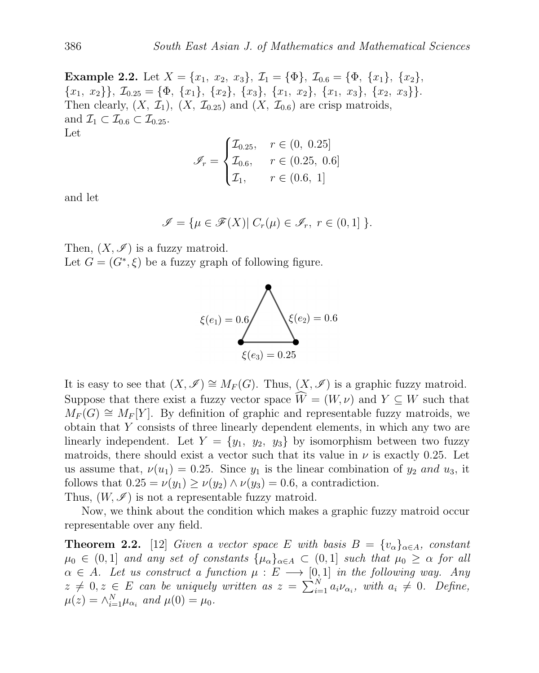Example 2.2. Let  $X = \{x_1, x_2, x_3\}, \mathcal{I}_1 = \{\Phi\}, \mathcal{I}_{0.6} = \{\Phi, \{x_1\}, \{x_2\},\$  ${x_1, x_2}$ ,  $\mathcal{I}_{0.25} = {\Phi, \{x_1\}, \{x_2\}, \{x_3\}, \{x_1, x_2\}, \{x_1, x_3\}, \{x_2, x_3\}}.$ Then clearly,  $(X, \mathcal{I}_1)$ ,  $(X, \mathcal{I}_{0.25})$  and  $(X, \mathcal{I}_{0.6})$  are crisp matroids, and  $\mathcal{I}_1 \subset \mathcal{I}_{0.6} \subset \mathcal{I}_{0.25}$ . Let

$$
\mathcal{I}_r = \begin{cases} \mathcal{I}_{0.25}, & r \in (0, 0.25] \\ \mathcal{I}_{0.6}, & r \in (0.25, 0.6] \\ \mathcal{I}_1, & r \in (0.6, 1] \end{cases}
$$

and let

$$
\mathscr{I} = \{ \mu \in \mathscr{F}(X) | C_r(\mu) \in \mathscr{I}_r, r \in (0,1] \}.
$$

Then,  $(X, \mathscr{I})$  is a fuzzy matroid.

Let  $G = (G^*, \xi)$  be a fuzzy graph of following figure.



It is easy to see that  $(X, \mathscr{I}) \cong M_F(G)$ . Thus,  $(X, \mathscr{I})$  is a graphic fuzzy matroid. Suppose that there exist a fuzzy vector space  $\hat{W} = (W, \nu)$  and  $Y \subseteq W$  such that  $M_F(G) \cong M_F[Y]$ . By definition of graphic and representable fuzzy matroids, we obtain that Y consists of three linearly dependent elements, in which any two are linearly independent. Let  $Y = \{y_1, y_2, y_3\}$  by isomorphism between two fuzzy matroids, there should exist a vector such that its value in  $\nu$  is exactly 0.25. Let us assume that,  $\nu(u_1) = 0.25$ . Since  $y_1$  is the linear combination of  $y_2$  and  $u_3$ , it follows that  $0.25 = \nu(y_1) \geq \nu(y_2) \wedge \nu(y_3) = 0.6$ , a contradiction. Thus,  $(W, \mathscr{I})$  is not a representable fuzzy matroid.

Now, we think about the condition which makes a graphic fuzzy matroid occur representable over any field.

**Theorem 2.2.** [12] Given a vector space E with basis  $B = \{v_{\alpha}\}_{{\alpha \in A}}$ , constant  $\mu_0 \in (0,1]$  and any set of constants  $\{\mu_\alpha\}_{\alpha \in A} \subset (0,1]$  such that  $\mu_0 \geq \alpha$  for all  $\alpha \in A$ . Let us construct a function  $\mu : E \longrightarrow [0,1]$  in the following way. Any  $z \neq 0, z \in E$  can be uniquely written as  $z = \sum_{i=1}^{N} a_i \nu_{\alpha_i}$ , with  $a_i \neq 0$ . Define,  $\mu(z) = \wedge_{i=1}^N \mu_{\alpha_i}$  and  $\mu(0) = \mu_0$ .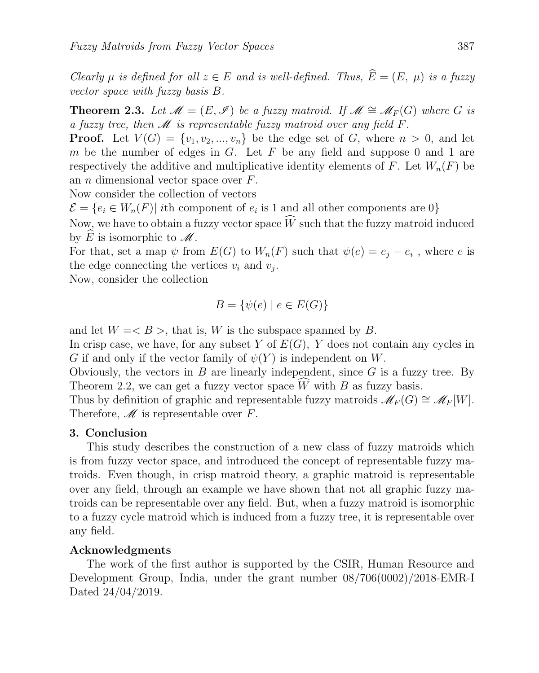Clearly  $\mu$  is defined for all  $z \in E$  and is well-defined. Thus,  $\widehat{E} = (E, \mu)$  is a fuzzy vector space with fuzzy basis B.

**Theorem 2.3.** Let  $\mathcal{M} = (E, \mathcal{I})$  be a fuzzy matroid. If  $\mathcal{M} \cong \mathcal{M}_F(G)$  where G is a fuzzy tree, then  $\mathcal M$  is representable fuzzy matroid over any field  $F$ .

**Proof.** Let  $V(G) = \{v_1, v_2, ..., v_n\}$  be the edge set of G, where  $n > 0$ , and let m be the number of edges in G. Let F be any field and suppose 0 and 1 are respectively the additive and multiplicative identity elements of F. Let  $W_n(F)$  be an *n* dimensional vector space over  $F$ .

Now consider the collection of vectors

 $\mathcal{E} = \{e_i \in W_n(F)|\text{ } i\text{th component of } e_i \text{ is } 1 \text{ and all other components are } 0\}$ 

Now, we have to obtain a fuzzy vector space  $\widehat{W}$  such that the fuzzy matroid induced by E is isomorphic to  $\mathscr M$ .

For that, set a map  $\psi$  from  $E(G)$  to  $W_n(F)$  such that  $\psi(e) = e_j - e_i$ , where e is the edge connecting the vertices  $v_i$  and  $v_j$ .

Now, consider the collection

$$
B = \{ \psi(e) \mid e \in E(G) \}
$$

and let  $W = \langle B \rangle$ , that is, W is the subspace spanned by B.

In crisp case, we have, for any subset Y of  $E(G)$ , Y does not contain any cycles in G if and only if the vector family of  $\psi(Y)$  is independent on W.

Obviously, the vectors in B are linearly independent, since  $G$  is a fuzzy tree. By Theorem 2.2, we can get a fuzzy vector space  $\widehat{W}$  with B as fuzzy basis.

Thus by definition of graphic and representable fuzzy matroids  $\mathscr{M}_F(G) \cong \mathscr{M}_F[W]$ . Therefore,  $\mathcal M$  is representable over F.

### 3. Conclusion

This study describes the construction of a new class of fuzzy matroids which is from fuzzy vector space, and introduced the concept of representable fuzzy matroids. Even though, in crisp matroid theory, a graphic matroid is representable over any field, through an example we have shown that not all graphic fuzzy matroids can be representable over any field. But, when a fuzzy matroid is isomorphic to a fuzzy cycle matroid which is induced from a fuzzy tree, it is representable over any field.

### Acknowledgments

The work of the first author is supported by the CSIR, Human Resource and Development Group, India, under the grant number 08/706(0002)/2018-EMR-I Dated 24/04/2019.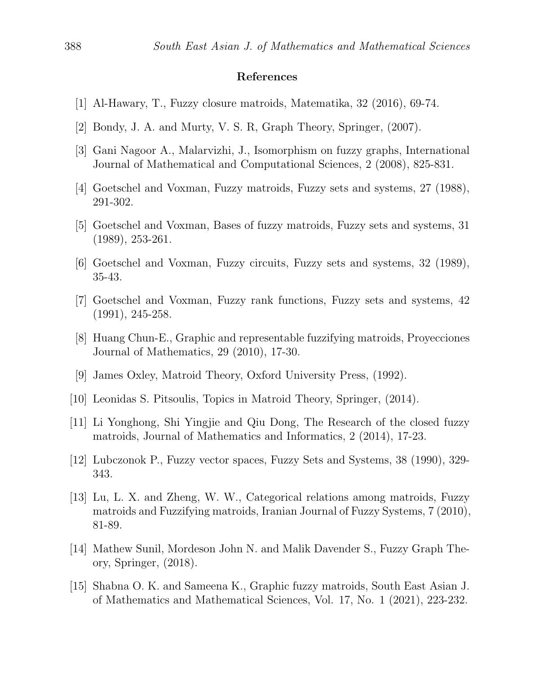### References

- [1] Al-Hawary, T., Fuzzy closure matroids, Matematika, 32 (2016), 69-74.
- [2] Bondy, J. A. and Murty, V. S. R, Graph Theory, Springer, (2007).
- [3] Gani Nagoor A., Malarvizhi, J., Isomorphism on fuzzy graphs, International Journal of Mathematical and Computational Sciences, 2 (2008), 825-831.
- [4] Goetschel and Voxman, Fuzzy matroids, Fuzzy sets and systems, 27 (1988), 291-302.
- [5] Goetschel and Voxman, Bases of fuzzy matroids, Fuzzy sets and systems, 31 (1989), 253-261.
- [6] Goetschel and Voxman, Fuzzy circuits, Fuzzy sets and systems, 32 (1989), 35-43.
- [7] Goetschel and Voxman, Fuzzy rank functions, Fuzzy sets and systems, 42 (1991), 245-258.
- [8] Huang Chun-E., Graphic and representable fuzzifying matroids, Proyecciones Journal of Mathematics, 29 (2010), 17-30.
- [9] James Oxley, Matroid Theory, Oxford University Press, (1992).
- [10] Leonidas S. Pitsoulis, Topics in Matroid Theory, Springer, (2014).
- [11] Li Yonghong, Shi Yingjie and Qiu Dong, The Research of the closed fuzzy matroids, Journal of Mathematics and Informatics, 2 (2014), 17-23.
- [12] Lubczonok P., Fuzzy vector spaces, Fuzzy Sets and Systems, 38 (1990), 329- 343.
- [13] Lu, L. X. and Zheng, W. W., Categorical relations among matroids, Fuzzy matroids and Fuzzifying matroids, Iranian Journal of Fuzzy Systems, 7 (2010), 81-89.
- [14] Mathew Sunil, Mordeson John N. and Malik Davender S., Fuzzy Graph Theory, Springer, (2018).
- [15] Shabna O. K. and Sameena K., Graphic fuzzy matroids, South East Asian J. of Mathematics and Mathematical Sciences, Vol. 17, No. 1 (2021), 223-232.